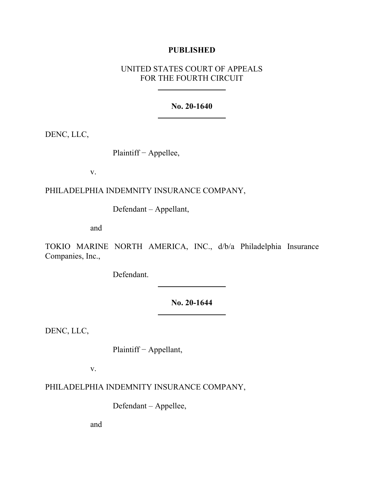# **PUBLISHED**

# UNITED STATES COURT OF APPEALS FOR THE FOURTH CIRCUIT

### **No. 20-1640**

DENC, LLC,

Plaintiff − Appellee,

v.

PHILADELPHIA INDEMNITY INSURANCE COMPANY,

Defendant – Appellant,

and

TOKIO MARINE NORTH AMERICA, INC., d/b/a Philadelphia Insurance Companies, Inc.,

Defendant.

**No. 20-1644**

DENC, LLC,

Plaintiff − Appellant,

v.

PHILADELPHIA INDEMNITY INSURANCE COMPANY,

Defendant – Appellee,

and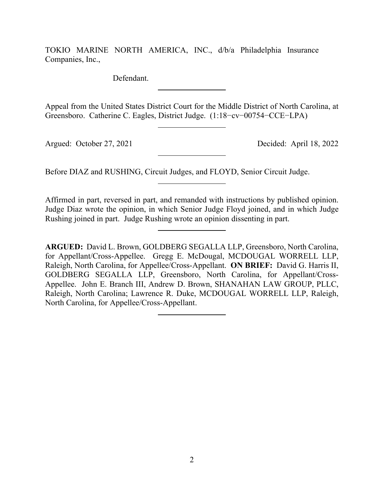TOKIO MARINE NORTH AMERICA, INC., d/b/a Philadelphia Insurance Companies, Inc.,

Defendant.

Appeal from the United States District Court for the Middle District of North Carolina, at Greensboro. Catherine C. Eagles, District Judge. (1:18−cv−00754−CCE−LPA)

Argued: October 27, 2021 Decided: April 18, 2022

Before DIAZ and RUSHING, Circuit Judges, and FLOYD, Senior Circuit Judge.

Affirmed in part, reversed in part, and remanded with instructions by published opinion. Judge Diaz wrote the opinion, in which Senior Judge Floyd joined, and in which Judge Rushing joined in part. Judge Rushing wrote an opinion dissenting in part.

**ARGUED:** David L. Brown, GOLDBERG SEGALLA LLP, Greensboro, North Carolina, for Appellant/Cross-Appellee. Gregg E. McDougal, MCDOUGAL WORRELL LLP, Raleigh, North Carolina, for Appellee/Cross-Appellant. **ON BRIEF:** David G. Harris II, GOLDBERG SEGALLA LLP, Greensboro, North Carolina, for Appellant/Cross-Appellee. John E. Branch III, Andrew D. Brown, SHANAHAN LAW GROUP, PLLC, Raleigh, North Carolina; Lawrence R. Duke, MCDOUGAL WORRELL LLP, Raleigh, North Carolina, for Appellee/Cross-Appellant.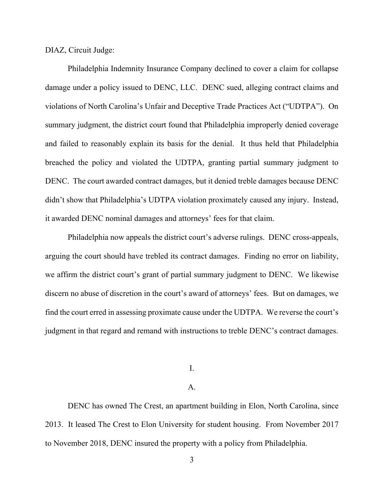DIAZ, Circuit Judge:

Philadelphia Indemnity Insurance Company declined to cover a claim for collapse damage under a policy issued to DENC, LLC. DENC sued, alleging contract claims and violations of North Carolina's Unfair and Deceptive Trade Practices Act ("UDTPA"). On summary judgment, the district court found that Philadelphia improperly denied coverage and failed to reasonably explain its basis for the denial. It thus held that Philadelphia breached the policy and violated the UDTPA, granting partial summary judgment to DENC. The court awarded contract damages, but it denied treble damages because DENC didn't show that Philadelphia's UDTPA violation proximately caused any injury. Instead, it awarded DENC nominal damages and attorneys' fees for that claim.

Philadelphia now appeals the district court's adverse rulings. DENC cross-appeals, arguing the court should have trebled its contract damages. Finding no error on liability, we affirm the district court's grant of partial summary judgment to DENC. We likewise discern no abuse of discretion in the court's award of attorneys' fees. But on damages, we find the court erred in assessing proximate cause under the UDTPA. We reverse the court's judgment in that regard and remand with instructions to treble DENC's contract damages.

I.

### A.

DENC has owned The Crest, an apartment building in Elon, North Carolina, since 2013. It leased The Crest to Elon University for student housing. From November 2017 to November 2018, DENC insured the property with a policy from Philadelphia.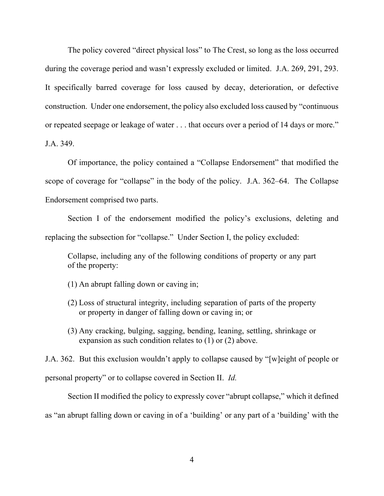The policy covered "direct physical loss" to The Crest, so long as the loss occurred during the coverage period and wasn't expressly excluded or limited. J.A. 269, 291, 293. It specifically barred coverage for loss caused by decay, deterioration, or defective construction. Under one endorsement, the policy also excluded loss caused by "continuous or repeated seepage or leakage of water . . . that occurs over a period of 14 days or more." J.A. 349.

Of importance, the policy contained a "Collapse Endorsement" that modified the scope of coverage for "collapse" in the body of the policy. J.A. 362–64. The Collapse Endorsement comprised two parts.

Section I of the endorsement modified the policy's exclusions, deleting and replacing the subsection for "collapse." Under Section I, the policy excluded:

Collapse, including any of the following conditions of property or any part of the property:

- (1) An abrupt falling down or caving in;
- (2) Loss of structural integrity, including separation of parts of the property or property in danger of falling down or caving in; or
- (3) Any cracking, bulging, sagging, bending, leaning, settling, shrinkage or expansion as such condition relates to (1) or (2) above.

J.A. 362. But this exclusion wouldn't apply to collapse caused by "[w]eight of people or personal property" or to collapse covered in Section II. *Id.*

Section II modified the policy to expressly cover "abrupt collapse," which it defined as "an abrupt falling down or caving in of a 'building' or any part of a 'building' with the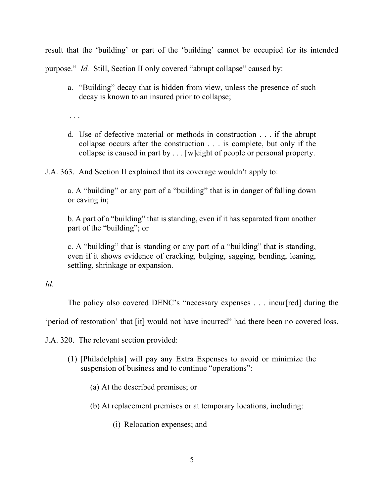result that the 'building' or part of the 'building' cannot be occupied for its intended

purpose." *Id.* Still, Section II only covered "abrupt collapse" caused by:

a. "Building" decay that is hidden from view, unless the presence of such decay is known to an insured prior to collapse;

. . .

d. Use of defective material or methods in construction . . . if the abrupt collapse occurs after the construction . . . is complete, but only if the collapse is caused in part by . . . [w]eight of people or personal property.

J.A. 363. And Section II explained that its coverage wouldn't apply to:

a. A "building" or any part of a "building" that is in danger of falling down or caving in;

b. A part of a "building" that is standing, even if it has separated from another part of the "building"; or

c. A "building" that is standing or any part of a "building" that is standing, even if it shows evidence of cracking, bulging, sagging, bending, leaning, settling, shrinkage or expansion.

# *Id.*

The policy also covered DENC's "necessary expenses . . . incur[red] during the

'period of restoration' that [it] would not have incurred" had there been no covered loss.

J.A. 320. The relevant section provided:

- (1) [Philadelphia] will pay any Extra Expenses to avoid or minimize the suspension of business and to continue "operations":
	- (a) At the described premises; or
	- (b) At replacement premises or at temporary locations, including:
		- (i) Relocation expenses; and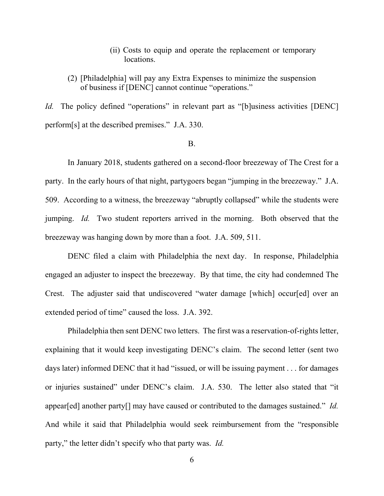- (ii) Costs to equip and operate the replacement or temporary locations.
- (2) [Philadelphia] will pay any Extra Expenses to minimize the suspension of business if [DENC] cannot continue "operations."

*Id.* The policy defined "operations" in relevant part as "[b]usiness activities [DENC] perform[s] at the described premises." J.A. 330.

# B.

In January 2018, students gathered on a second-floor breezeway of The Crest for a party. In the early hours of that night, partygoers began "jumping in the breezeway." J.A. 509. According to a witness, the breezeway "abruptly collapsed" while the students were jumping. *Id.* Two student reporters arrived in the morning. Both observed that the breezeway was hanging down by more than a foot. J.A. 509, 511.

DENC filed a claim with Philadelphia the next day. In response, Philadelphia engaged an adjuster to inspect the breezeway. By that time, the city had condemned The Crest. The adjuster said that undiscovered "water damage [which] occur[ed] over an extended period of time" caused the loss. J.A. 392.

Philadelphia then sent DENC two letters. The first was a reservation-of-rights letter, explaining that it would keep investigating DENC's claim. The second letter (sent two days later) informed DENC that it had "issued, or will be issuing payment . . . for damages or injuries sustained" under DENC's claim. J.A. 530. The letter also stated that "it appear[ed] another party[] may have caused or contributed to the damages sustained." *Id.* And while it said that Philadelphia would seek reimbursement from the "responsible party," the letter didn't specify who that party was. *Id.*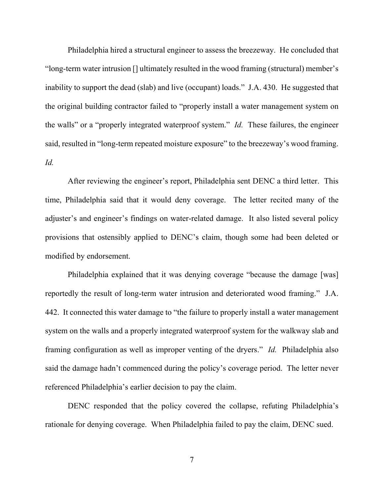Philadelphia hired a structural engineer to assess the breezeway. He concluded that "long-term water intrusion [] ultimately resulted in the wood framing (structural) member's inability to support the dead (slab) and live (occupant) loads." J.A. 430. He suggested that the original building contractor failed to "properly install a water management system on the walls" or a "properly integrated waterproof system." *Id.* These failures, the engineer said, resulted in "long-term repeated moisture exposure" to the breezeway's wood framing. *Id.*

After reviewing the engineer's report, Philadelphia sent DENC a third letter. This time, Philadelphia said that it would deny coverage. The letter recited many of the adjuster's and engineer's findings on water-related damage. It also listed several policy provisions that ostensibly applied to DENC's claim, though some had been deleted or modified by endorsement.

Philadelphia explained that it was denying coverage "because the damage [was] reportedly the result of long-term water intrusion and deteriorated wood framing." J.A. 442. It connected this water damage to "the failure to properly install a water management system on the walls and a properly integrated waterproof system for the walkway slab and framing configuration as well as improper venting of the dryers." *Id.* Philadelphia also said the damage hadn't commenced during the policy's coverage period. The letter never referenced Philadelphia's earlier decision to pay the claim.

DENC responded that the policy covered the collapse, refuting Philadelphia's rationale for denying coverage. When Philadelphia failed to pay the claim, DENC sued.

7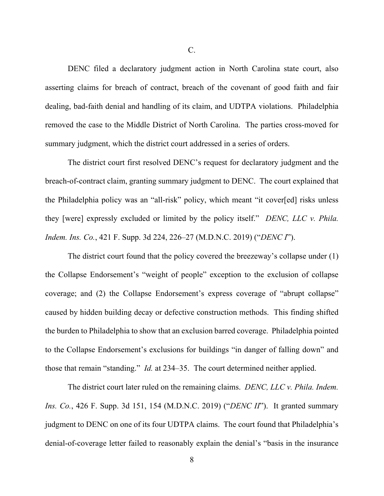DENC filed a declaratory judgment action in North Carolina state court, also asserting claims for breach of contract, breach of the covenant of good faith and fair dealing, bad-faith denial and handling of its claim, and UDTPA violations. Philadelphia removed the case to the Middle District of North Carolina. The parties cross-moved for summary judgment, which the district court addressed in a series of orders.

The district court first resolved DENC's request for declaratory judgment and the breach-of-contract claim, granting summary judgment to DENC. The court explained that the Philadelphia policy was an "all-risk" policy, which meant "it cover[ed] risks unless they [were] expressly excluded or limited by the policy itself." *DENC, LLC v. Phila. Indem. Ins. Co.*, 421 F. Supp. 3d 224, 226–27 (M.D.N.C. 2019) ("*DENC I*").

The district court found that the policy covered the breezeway's collapse under (1) the Collapse Endorsement's "weight of people" exception to the exclusion of collapse coverage; and (2) the Collapse Endorsement's express coverage of "abrupt collapse" caused by hidden building decay or defective construction methods. This finding shifted the burden to Philadelphia to show that an exclusion barred coverage. Philadelphia pointed to the Collapse Endorsement's exclusions for buildings "in danger of falling down" and those that remain "standing." *Id.* at 234–35. The court determined neither applied.

The district court later ruled on the remaining claims. *DENC, LLC v. Phila. Indem. Ins. Co.*, 426 F. Supp. 3d 151, 154 (M.D.N.C. 2019) ("*DENC II*"). It granted summary judgment to DENC on one of its four UDTPA claims. The court found that Philadelphia's denial-of-coverage letter failed to reasonably explain the denial's "basis in the insurance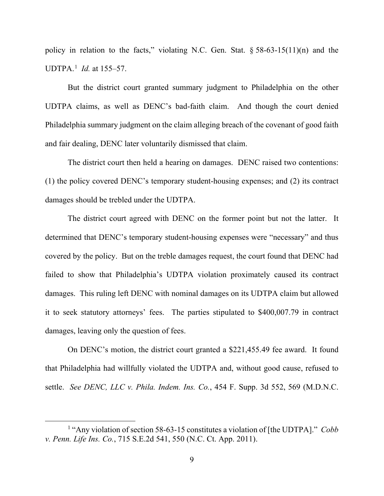policy in relation to the facts," violating N.C. Gen. Stat.  $\S 58-63-15(11)(n)$  and the UDTPA.[1](#page-8-0) *Id.* at 155–57.

But the district court granted summary judgment to Philadelphia on the other UDTPA claims, as well as DENC's bad-faith claim. And though the court denied Philadelphia summary judgment on the claim alleging breach of the covenant of good faith and fair dealing, DENC later voluntarily dismissed that claim.

The district court then held a hearing on damages. DENC raised two contentions: (1) the policy covered DENC's temporary student-housing expenses; and (2) its contract damages should be trebled under the UDTPA.

The district court agreed with DENC on the former point but not the latter. It determined that DENC's temporary student-housing expenses were "necessary" and thus covered by the policy. But on the treble damages request, the court found that DENC had failed to show that Philadelphia's UDTPA violation proximately caused its contract damages. This ruling left DENC with nominal damages on its UDTPA claim but allowed it to seek statutory attorneys' fees. The parties stipulated to \$400,007.79 in contract damages, leaving only the question of fees.

On DENC's motion, the district court granted a \$221,455.49 fee award. It found that Philadelphia had willfully violated the UDTPA and, without good cause, refused to settle. *See DENC, LLC v. Phila. Indem. Ins. Co.*, 454 F. Supp. 3d 552, 569 (M.D.N.C.

<span id="page-8-0"></span><sup>1</sup> "Any violation of section 58-63-15 constitutes a violation of [the UDTPA]." *Cobb v. Penn. Life Ins. Co.*, 715 S.E.2d 541, 550 (N.C. Ct. App. 2011).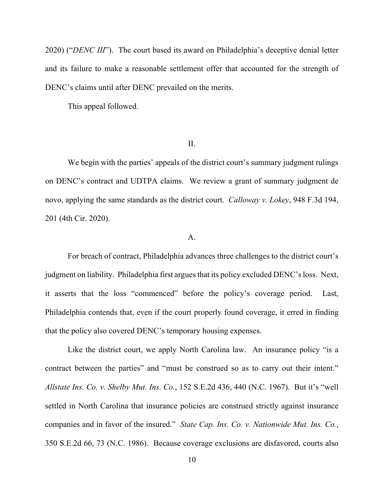2020) ("*DENC III*"). The court based its award on Philadelphia's deceptive denial letter and its failure to make a reasonable settlement offer that accounted for the strength of DENC's claims until after DENC prevailed on the merits.

This appeal followed.

### II.

We begin with the parties' appeals of the district court's summary judgment rulings on DENC's contract and UDTPA claims. We review a grant of summary judgment de novo, applying the same standards as the district court. *Calloway v. Lokey*, 948 F.3d 194, 201 (4th Cir. 2020).

# A.

For breach of contract, Philadelphia advances three challenges to the district court's judgment on liability. Philadelphia first argues that its policy excluded DENC's loss. Next, it asserts that the loss "commenced" before the policy's coverage period. Last, Philadelphia contends that, even if the court properly found coverage, it erred in finding that the policy also covered DENC's temporary housing expenses.

Like the district court, we apply North Carolina law. An insurance policy "is a contract between the parties" and "must be construed so as to carry out their intent." *Allstate Ins. Co. v. Shelby Mut. Ins. Co.*, 152 S.E.2d 436, 440 (N.C. 1967). But it's "well settled in North Carolina that insurance policies are construed strictly against insurance companies and in favor of the insured." *State Cap. Ins. Co. v. Nationwide Mut. Ins. Co.*, 350 S.E.2d 66, 73 (N.C. 1986). Because coverage exclusions are disfavored, courts also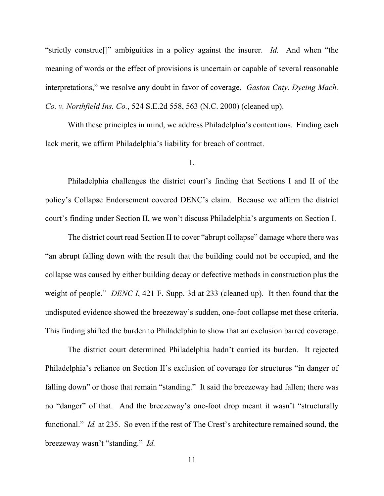"strictly construe[]" ambiguities in a policy against the insurer. *Id.* And when "the meaning of words or the effect of provisions is uncertain or capable of several reasonable interpretations," we resolve any doubt in favor of coverage. *Gaston Cnty. Dyeing Mach. Co. v. Northfield Ins. Co.*, 524 S.E.2d 558, 563 (N.C. 2000) (cleaned up).

With these principles in mind, we address Philadelphia's contentions. Finding each lack merit, we affirm Philadelphia's liability for breach of contract.

# 1.

Philadelphia challenges the district court's finding that Sections I and II of the policy's Collapse Endorsement covered DENC's claim. Because we affirm the district court's finding under Section II, we won't discuss Philadelphia's arguments on Section I.

The district court read Section II to cover "abrupt collapse" damage where there was "an abrupt falling down with the result that the building could not be occupied, and the collapse was caused by either building decay or defective methods in construction plus the weight of people." *DENC I*, 421 F. Supp. 3d at 233 (cleaned up). It then found that the undisputed evidence showed the breezeway's sudden, one-foot collapse met these criteria. This finding shifted the burden to Philadelphia to show that an exclusion barred coverage.

The district court determined Philadelphia hadn't carried its burden. It rejected Philadelphia's reliance on Section II's exclusion of coverage for structures "in danger of falling down" or those that remain "standing." It said the breezeway had fallen; there was no "danger" of that. And the breezeway's one-foot drop meant it wasn't "structurally functional." *Id.* at 235. So even if the rest of The Crest's architecture remained sound, the breezeway wasn't "standing." *Id.*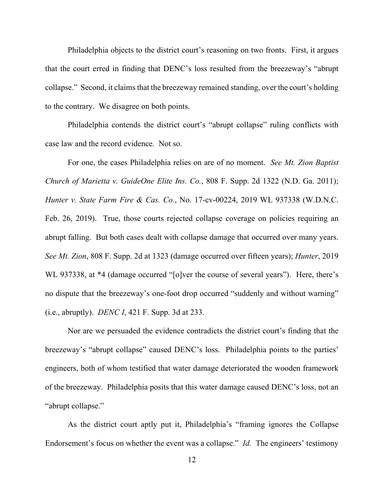Philadelphia objects to the district court's reasoning on two fronts. First, it argues that the court erred in finding that DENC's loss resulted from the breezeway's "abrupt collapse." Second, it claims that the breezeway remained standing, over the court's holding to the contrary. We disagree on both points.

Philadelphia contends the district court's "abrupt collapse" ruling conflicts with case law and the record evidence. Not so.

For one, the cases Philadelphia relies on are of no moment. *See Mt. Zion Baptist Church of Marietta v. GuideOne Elite Ins. Co.*, 808 F. Supp. 2d 1322 (N.D. Ga. 2011); *Hunter v. State Farm Fire & Cas. Co.*, No. 17-cv-00224, 2019 WL 937338 (W.D.N.C. Feb. 26, 2019). True, those courts rejected collapse coverage on policies requiring an abrupt falling. But both cases dealt with collapse damage that occurred over many years. *See Mt. Zion*, 808 F. Supp. 2d at 1323 (damage occurred over fifteen years); *Hunter*, 2019 WL 937338, at \*4 (damage occurred "[o]ver the course of several years"). Here, there's no dispute that the breezeway's one-foot drop occurred "suddenly and without warning" (i.e., abruptly). *DENC I*, 421 F. Supp. 3d at 233.

Nor are we persuaded the evidence contradicts the district court's finding that the breezeway's "abrupt collapse" caused DENC's loss. Philadelphia points to the parties' engineers, both of whom testified that water damage deteriorated the wooden framework of the breezeway. Philadelphia posits that this water damage caused DENC's loss, not an "abrupt collapse."

As the district court aptly put it, Philadelphia's "framing ignores the Collapse Endorsement's focus on whether the event was a collapse." *Id.* The engineers' testimony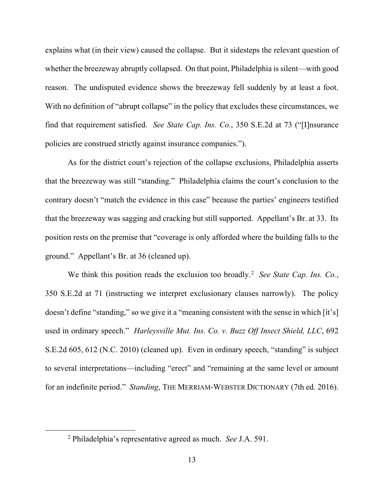explains what (in their view) caused the collapse. But it sidesteps the relevant question of whether the breezeway abruptly collapsed. On that point, Philadelphia is silent—with good reason. The undisputed evidence shows the breezeway fell suddenly by at least a foot. With no definition of "abrupt collapse" in the policy that excludes these circumstances, we find that requirement satisfied. *See State Cap. Ins. Co.*, 350 S.E.2d at 73 ("[I]nsurance policies are construed strictly against insurance companies.").

As for the district court's rejection of the collapse exclusions, Philadelphia asserts that the breezeway was still "standing." Philadelphia claims the court's conclusion to the contrary doesn't "match the evidence in this case" because the parties' engineers testified that the breezeway was sagging and cracking but still supported. Appellant's Br. at 33. Its position rests on the premise that "coverage is only afforded where the building falls to the ground." Appellant's Br. at 36 (cleaned up).

We think this position reads the exclusion too broadly.<sup>[2](#page-12-0)</sup> See State Cap. Ins. Co., 350 S.E.2d at 71 (instructing we interpret exclusionary clauses narrowly). The policy doesn't define "standing," so we give it a "meaning consistent with the sense in which [it's] used in ordinary speech." *Harleysville Mut. Ins. Co. v. Buzz Off Insect Shield, LLC*, 692 S.E.2d 605, 612 (N.C. 2010) (cleaned up). Even in ordinary speech, "standing" is subject to several interpretations—including "erect" and "remaining at the same level or amount for an indefinite period." *Standing*, THE MERRIAM-WEBSTER DICTIONARY (7th ed. 2016).

<span id="page-12-0"></span><sup>2</sup> Philadelphia's representative agreed as much. *See* J.A. 591.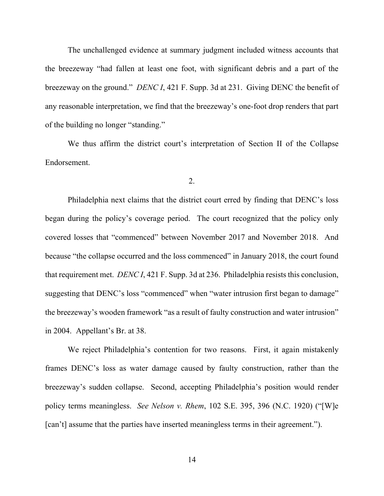The unchallenged evidence at summary judgment included witness accounts that the breezeway "had fallen at least one foot, with significant debris and a part of the breezeway on the ground." *DENC I*, 421 F. Supp. 3d at 231. Giving DENC the benefit of any reasonable interpretation, we find that the breezeway's one-foot drop renders that part of the building no longer "standing."

We thus affirm the district court's interpretation of Section II of the Collapse Endorsement.

### 2.

Philadelphia next claims that the district court erred by finding that DENC's loss began during the policy's coverage period. The court recognized that the policy only covered losses that "commenced" between November 2017 and November 2018. And because "the collapse occurred and the loss commenced" in January 2018, the court found that requirement met. *DENC I*, 421 F. Supp. 3d at 236. Philadelphia resists this conclusion, suggesting that DENC's loss "commenced" when "water intrusion first began to damage" the breezeway's wooden framework "as a result of faulty construction and water intrusion" in 2004. Appellant's Br. at 38.

We reject Philadelphia's contention for two reasons. First, it again mistakenly frames DENC's loss as water damage caused by faulty construction, rather than the breezeway's sudden collapse. Second, accepting Philadelphia's position would render policy terms meaningless. *See Nelson v. Rhem*, 102 S.E. 395, 396 (N.C. 1920) ("[W]e [can't] assume that the parties have inserted meaningless terms in their agreement.").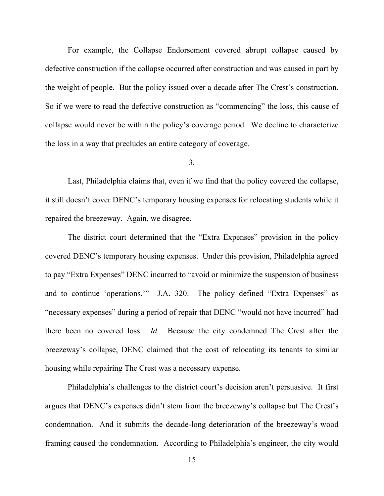For example, the Collapse Endorsement covered abrupt collapse caused by defective construction if the collapse occurred after construction and was caused in part by the weight of people. But the policy issued over a decade after The Crest's construction. So if we were to read the defective construction as "commencing" the loss, this cause of collapse would never be within the policy's coverage period. We decline to characterize the loss in a way that precludes an entire category of coverage.

# 3.

Last, Philadelphia claims that, even if we find that the policy covered the collapse, it still doesn't cover DENC's temporary housing expenses for relocating students while it repaired the breezeway. Again, we disagree.

The district court determined that the "Extra Expenses" provision in the policy covered DENC's temporary housing expenses. Under this provision, Philadelphia agreed to pay "Extra Expenses" DENC incurred to "avoid or minimize the suspension of business and to continue 'operations.'" J.A. 320. The policy defined "Extra Expenses" as "necessary expenses" during a period of repair that DENC "would not have incurred" had there been no covered loss. *Id.* Because the city condemned The Crest after the breezeway's collapse, DENC claimed that the cost of relocating its tenants to similar housing while repairing The Crest was a necessary expense.

Philadelphia's challenges to the district court's decision aren't persuasive. It first argues that DENC's expenses didn't stem from the breezeway's collapse but The Crest's condemnation. And it submits the decade-long deterioration of the breezeway's wood framing caused the condemnation. According to Philadelphia's engineer, the city would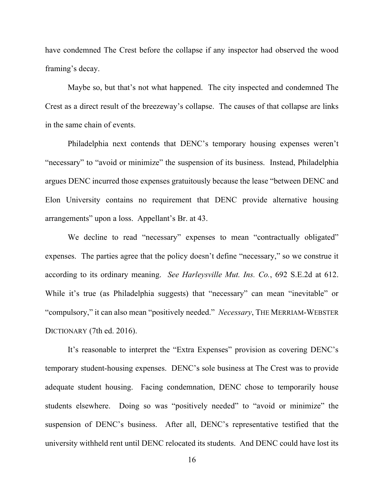have condemned The Crest before the collapse if any inspector had observed the wood framing's decay.

Maybe so, but that's not what happened. The city inspected and condemned The Crest as a direct result of the breezeway's collapse. The causes of that collapse are links in the same chain of events.

Philadelphia next contends that DENC's temporary housing expenses weren't "necessary" to "avoid or minimize" the suspension of its business. Instead, Philadelphia argues DENC incurred those expenses gratuitously because the lease "between DENC and Elon University contains no requirement that DENC provide alternative housing arrangements" upon a loss. Appellant's Br. at 43.

We decline to read "necessary" expenses to mean "contractually obligated" expenses. The parties agree that the policy doesn't define "necessary," so we construe it according to its ordinary meaning. *See Harleysville Mut. Ins. Co.*, 692 S.E.2d at 612. While it's true (as Philadelphia suggests) that "necessary" can mean "inevitable" or "compulsory," it can also mean "positively needed." *Necessary*, THE MERRIAM-WEBSTER DICTIONARY (7th ed. 2016).

It's reasonable to interpret the "Extra Expenses" provision as covering DENC's temporary student-housing expenses. DENC's sole business at The Crest was to provide adequate student housing. Facing condemnation, DENC chose to temporarily house students elsewhere. Doing so was "positively needed" to "avoid or minimize" the suspension of DENC's business. After all, DENC's representative testified that the university withheld rent until DENC relocated its students. And DENC could have lost its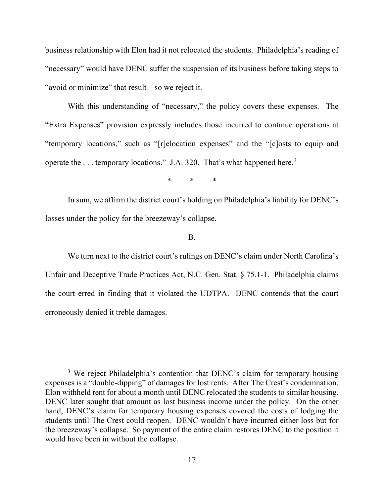business relationship with Elon had it not relocated the students. Philadelphia's reading of "necessary" would have DENC suffer the suspension of its business before taking steps to "avoid or minimize" that result—so we reject it.

With this understanding of "necessary," the policy covers these expenses. The "Extra Expenses" provision expressly includes those incurred to continue operations at "temporary locations," such as "[r]elocation expenses" and the "[c]osts to equip and operate the ... temporary locations." J.A. [3](#page-16-0)20. That's what happened here.<sup>3</sup>

\* \* \*

In sum, we affirm the district court's holding on Philadelphia's liability for DENC's losses under the policy for the breezeway's collapse.

B.

We turn next to the district court's rulings on DENC's claim under North Carolina's Unfair and Deceptive Trade Practices Act, N.C. Gen. Stat. § 75.1-1. Philadelphia claims the court erred in finding that it violated the UDTPA. DENC contends that the court erroneously denied it treble damages.

<span id="page-16-0"></span><sup>&</sup>lt;sup>3</sup> We reject Philadelphia's contention that DENC's claim for temporary housing expenses is a "double-dipping" of damages for lost rents. After The Crest's condemnation, Elon withheld rent for about a month until DENC relocated the students to similar housing. DENC later sought that amount as lost business income under the policy. On the other hand, DENC's claim for temporary housing expenses covered the costs of lodging the students until The Crest could reopen. DENC wouldn't have incurred either loss but for the breezeway's collapse. So payment of the entire claim restores DENC to the position it would have been in without the collapse.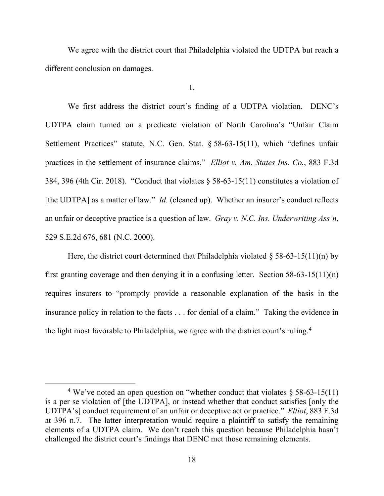We agree with the district court that Philadelphia violated the UDTPA but reach a different conclusion on damages.

1.

We first address the district court's finding of a UDTPA violation. DENC's UDTPA claim turned on a predicate violation of North Carolina's "Unfair Claim Settlement Practices" statute, N.C. Gen. Stat. § 58-63-15(11), which "defines unfair practices in the settlement of insurance claims." *Elliot v. Am. States Ins. Co.*, 883 F.3d 384, 396 (4th Cir. 2018). "Conduct that violates § 58-63-15(11) constitutes a violation of [the UDTPA] as a matter of law." *Id.* (cleaned up). Whether an insurer's conduct reflects an unfair or deceptive practice is a question of law. *Gray v. N.C. Ins. Underwriting Ass'n*, 529 S.E.2d 676, 681 (N.C. 2000).

Here, the district court determined that Philadelphia violated  $\S 58-63-15(11)(n)$  by first granting coverage and then denying it in a confusing letter. Section  $58-63-15(11)(n)$ requires insurers to "promptly provide a reasonable explanation of the basis in the insurance policy in relation to the facts . . . for denial of a claim." Taking the evidence in the light most favorable to Philadelphia, we agree with the district court's ruling.<sup>[4](#page-17-0)</sup>

<span id="page-17-0"></span><sup>&</sup>lt;sup>4</sup> We've noted an open question on "whether conduct that violates  $\S$  58-63-15(11) is a per se violation of [the UDTPA], or instead whether that conduct satisfies [only the UDTPA's] conduct requirement of an unfair or deceptive act or practice." *Elliot*, 883 F.3d at 396 n.7. The latter interpretation would require a plaintiff to satisfy the remaining elements of a UDTPA claim. We don't reach this question because Philadelphia hasn't challenged the district court's findings that DENC met those remaining elements.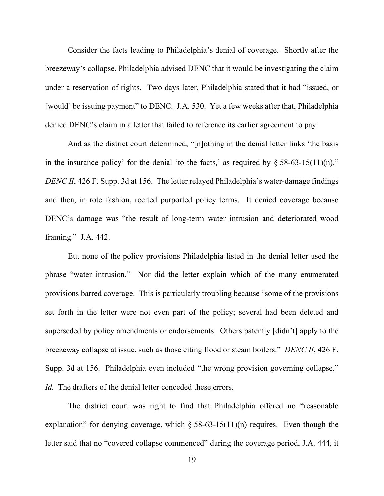Consider the facts leading to Philadelphia's denial of coverage. Shortly after the breezeway's collapse, Philadelphia advised DENC that it would be investigating the claim under a reservation of rights. Two days later, Philadelphia stated that it had "issued, or [would] be issuing payment" to DENC. J.A. 530. Yet a few weeks after that, Philadelphia denied DENC's claim in a letter that failed to reference its earlier agreement to pay.

And as the district court determined, "[n]othing in the denial letter links 'the basis in the insurance policy' for the denial 'to the facts,' as required by  $\S 58-63-15(11)(n)$ ." *DENC II*, 426 F. Supp. 3d at 156. The letter relayed Philadelphia's water-damage findings and then, in rote fashion, recited purported policy terms. It denied coverage because DENC's damage was "the result of long-term water intrusion and deteriorated wood framing." J.A. 442.

But none of the policy provisions Philadelphia listed in the denial letter used the phrase "water intrusion." Nor did the letter explain which of the many enumerated provisions barred coverage. This is particularly troubling because "some of the provisions set forth in the letter were not even part of the policy; several had been deleted and superseded by policy amendments or endorsements. Others patently [didn't] apply to the breezeway collapse at issue, such as those citing flood or steam boilers." *DENC II*, 426 F. Supp. 3d at 156. Philadelphia even included "the wrong provision governing collapse." *Id.* The drafters of the denial letter conceded these errors.

The district court was right to find that Philadelphia offered no "reasonable explanation" for denying coverage, which  $\S$  58-63-15(11)(n) requires. Even though the letter said that no "covered collapse commenced" during the coverage period, J.A. 444, it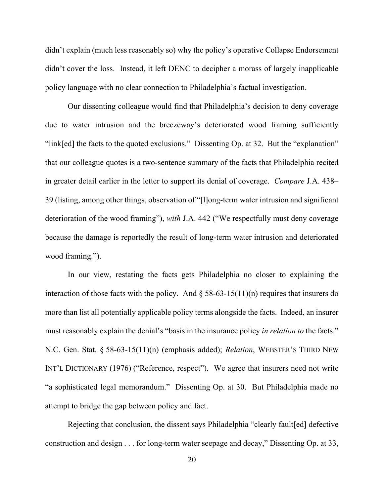didn't explain (much less reasonably so) why the policy's operative Collapse Endorsement didn't cover the loss. Instead, it left DENC to decipher a morass of largely inapplicable policy language with no clear connection to Philadelphia's factual investigation.

Our dissenting colleague would find that Philadelphia's decision to deny coverage due to water intrusion and the breezeway's deteriorated wood framing sufficiently "link[ed] the facts to the quoted exclusions." Dissenting Op. at 32. But the "explanation" that our colleague quotes is a two-sentence summary of the facts that Philadelphia recited in greater detail earlier in the letter to support its denial of coverage. *Compare* J.A. 438– 39 (listing, among other things, observation of "[l]ong-term water intrusion and significant deterioration of the wood framing"), *with* J.A. 442 ("We respectfully must deny coverage because the damage is reportedly the result of long-term water intrusion and deteriorated wood framing.").

In our view, restating the facts gets Philadelphia no closer to explaining the interaction of those facts with the policy. And  $\S$  58-63-15(11)(n) requires that insurers do more than list all potentially applicable policy terms alongside the facts. Indeed, an insurer must reasonably explain the denial's "basis in the insurance policy *in relation to* the facts." N.C. Gen. Stat. § 58-63-15(11)(n) (emphasis added); *Relation*, WEBSTER'S THIRD NEW INT'L DICTIONARY (1976) ("Reference, respect"). We agree that insurers need not write "a sophisticated legal memorandum." Dissenting Op. at 30. But Philadelphia made no attempt to bridge the gap between policy and fact.

Rejecting that conclusion, the dissent says Philadelphia "clearly fault[ed] defective construction and design . . . for long-term water seepage and decay," Dissenting Op. at 33,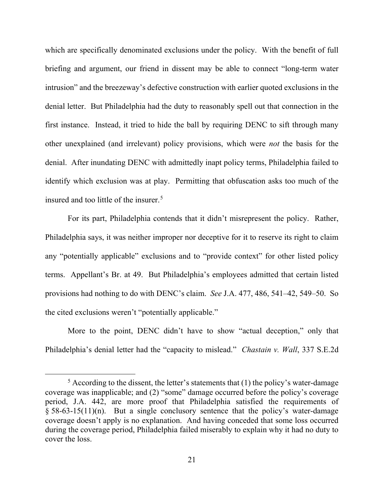which are specifically denominated exclusions under the policy. With the benefit of full briefing and argument, our friend in dissent may be able to connect "long-term water intrusion" and the breezeway's defective construction with earlier quoted exclusions in the denial letter. But Philadelphia had the duty to reasonably spell out that connection in the first instance. Instead, it tried to hide the ball by requiring DENC to sift through many other unexplained (and irrelevant) policy provisions, which were *not* the basis for the denial. After inundating DENC with admittedly inapt policy terms, Philadelphia failed to identify which exclusion was at play. Permitting that obfuscation asks too much of the insured and too little of the insurer.<sup>[5](#page-20-0)</sup>

For its part, Philadelphia contends that it didn't misrepresent the policy. Rather, Philadelphia says, it was neither improper nor deceptive for it to reserve its right to claim any "potentially applicable" exclusions and to "provide context" for other listed policy terms. Appellant's Br. at 49. But Philadelphia's employees admitted that certain listed provisions had nothing to do with DENC's claim. *See* J.A. 477, 486, 541–42, 549–50. So the cited exclusions weren't "potentially applicable."

More to the point, DENC didn't have to show "actual deception," only that Philadelphia's denial letter had the "capacity to mislead." *Chastain v. Wall*, 337 S.E.2d

<span id="page-20-0"></span> $5$  According to the dissent, the letter's statements that (1) the policy's water-damage coverage was inapplicable; and (2) "some" damage occurred before the policy's coverage period, J.A. 442, are more proof that Philadelphia satisfied the requirements of  $§$  58-63-15(11)(n). But a single conclusory sentence that the policy's water-damage coverage doesn't apply is no explanation. And having conceded that some loss occurred during the coverage period, Philadelphia failed miserably to explain why it had no duty to cover the loss.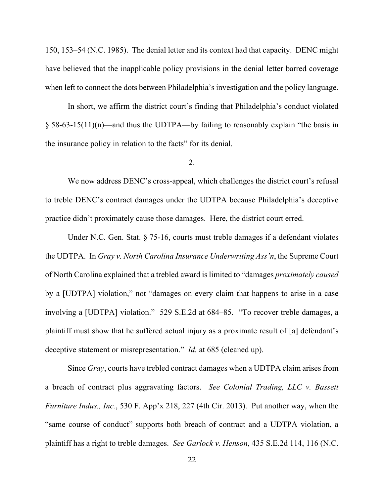150, 153–54 (N.C. 1985). The denial letter and its context had that capacity. DENC might have believed that the inapplicable policy provisions in the denial letter barred coverage when left to connect the dots between Philadelphia's investigation and the policy language.

In short, we affirm the district court's finding that Philadelphia's conduct violated § 58-63-15(11)(n)—and thus the UDTPA—by failing to reasonably explain "the basis in the insurance policy in relation to the facts" for its denial.

### 2.

We now address DENC's cross-appeal, which challenges the district court's refusal to treble DENC's contract damages under the UDTPA because Philadelphia's deceptive practice didn't proximately cause those damages. Here, the district court erred.

Under N.C. Gen. Stat. § 75-16, courts must treble damages if a defendant violates the UDTPA. In *Gray v. North Carolina Insurance Underwriting Ass'n*, the Supreme Court of North Carolina explained that a trebled award is limited to "damages *proximately caused* by a [UDTPA] violation," not "damages on every claim that happens to arise in a case involving a [UDTPA] violation." 529 S.E.2d at 684–85. "To recover treble damages, a plaintiff must show that he suffered actual injury as a proximate result of [a] defendant's deceptive statement or misrepresentation." *Id.* at 685 (cleaned up).

Since *Gray*, courts have trebled contract damages when a UDTPA claim arises from a breach of contract plus aggravating factors. *See Colonial Trading, LLC v. Bassett Furniture Indus., Inc.*, 530 F. App'x 218, 227 (4th Cir. 2013). Put another way, when the "same course of conduct" supports both breach of contract and a UDTPA violation, a plaintiff has a right to treble damages. *See Garlock v. Henson*, 435 S.E.2d 114, 116 (N.C.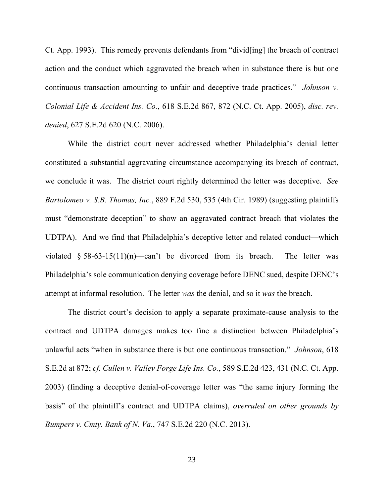Ct. App. 1993). This remedy prevents defendants from "divid[ing] the breach of contract action and the conduct which aggravated the breach when in substance there is but one continuous transaction amounting to unfair and deceptive trade practices." *Johnson v. Colonial Life & Accident Ins. Co.*, 618 S.E.2d 867, 872 (N.C. Ct. App. 2005), *disc. rev. denied*, 627 S.E.2d 620 (N.C. 2006).

While the district court never addressed whether Philadelphia's denial letter constituted a substantial aggravating circumstance accompanying its breach of contract, we conclude it was. The district court rightly determined the letter was deceptive. *See Bartolomeo v. S.B. Thomas, Inc.*, 889 F.2d 530, 535 (4th Cir. 1989) (suggesting plaintiffs must "demonstrate deception" to show an aggravated contract breach that violates the UDTPA). And we find that Philadelphia's deceptive letter and related conduct—which violated  $§$  58-63-15(11)(n)—can't be divorced from its breach. The letter was Philadelphia's sole communication denying coverage before DENC sued, despite DENC's attempt at informal resolution. The letter *was* the denial, and so it *was* the breach.

The district court's decision to apply a separate proximate-cause analysis to the contract and UDTPA damages makes too fine a distinction between Philadelphia's unlawful acts "when in substance there is but one continuous transaction." *Johnson*, 618 S.E.2d at 872; *cf. Cullen v. Valley Forge Life Ins. Co.*, 589 S.E.2d 423, 431 (N.C. Ct. App. 2003) (finding a deceptive denial-of-coverage letter was "the same injury forming the basis" of the plaintiff's contract and UDTPA claims), *overruled on other grounds by Bumpers v. Cmty. Bank of N. Va.*, 747 S.E.2d 220 (N.C. 2013).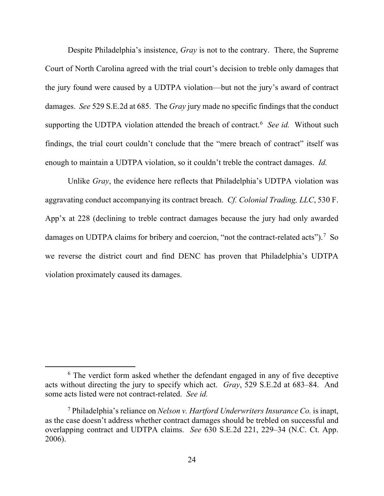Despite Philadelphia's insistence, *Gray* is not to the contrary. There, the Supreme Court of North Carolina agreed with the trial court's decision to treble only damages that the jury found were caused by a UDTPA violation—but not the jury's award of contract damages. *See* 529 S.E.2d at 685. The *Gray* jury made no specific findings that the conduct supporting the UDTPA violation attended the breach of contract.<sup>[6](#page-23-0)</sup> See id. Without such findings, the trial court couldn't conclude that the "mere breach of contract" itself was enough to maintain a UDTPA violation, so it couldn't treble the contract damages. *Id.*

Unlike *Gray*, the evidence here reflects that Philadelphia's UDTPA violation was aggravating conduct accompanying its contract breach. *Cf. Colonial Trading, LLC*, 530 F. App'x at 228 (declining to treble contract damages because the jury had only awarded damages on UDTPA claims for bribery and coercion, "not the contract-related acts").<sup>[7](#page-23-1)</sup> So we reverse the district court and find DENC has proven that Philadelphia's UDTPA violation proximately caused its damages.

<span id="page-23-0"></span> $6$  The verdict form asked whether the defendant engaged in any of five deceptive acts without directing the jury to specify which act. *Gray*, 529 S.E.2d at 683–84. And some acts listed were not contract-related. *See id.*

<span id="page-23-1"></span><sup>7</sup> Philadelphia's reliance on *Nelson v. Hartford Underwriters Insurance Co.* is inapt, as the case doesn't address whether contract damages should be trebled on successful and overlapping contract and UDTPA claims. *See* 630 S.E.2d 221, 229–34 (N.C. Ct. App. 2006).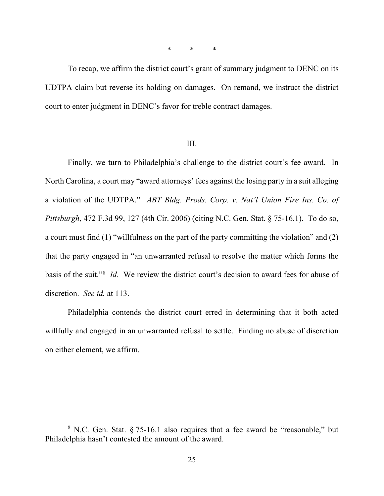\* \* \*

To recap, we affirm the district court's grant of summary judgment to DENC on its UDTPA claim but reverse its holding on damages. On remand, we instruct the district court to enter judgment in DENC's favor for treble contract damages.

#### III.

Finally, we turn to Philadelphia's challenge to the district court's fee award. In North Carolina, a court may "award attorneys' fees against the losing party in a suit alleging a violation of the UDTPA." *ABT Bldg. Prods. Corp. v. Nat'l Union Fire Ins. Co. of Pittsburgh*, 472 F.3d 99, 127 (4th Cir. 2006) (citing N.C. Gen. Stat. § 75-16.1). To do so, a court must find (1) "willfulness on the part of the party committing the violation" and (2) that the party engaged in "an unwarranted refusal to resolve the matter which forms the basis of the suit."[8](#page-24-0) *Id.* We review the district court's decision to award fees for abuse of discretion. *See id.* at 113.

Philadelphia contends the district court erred in determining that it both acted willfully and engaged in an unwarranted refusal to settle. Finding no abuse of discretion on either element, we affirm.

<span id="page-24-0"></span> $8$  N.C. Gen. Stat.  $\S 75$ -16.1 also requires that a fee award be "reasonable," but Philadelphia hasn't contested the amount of the award.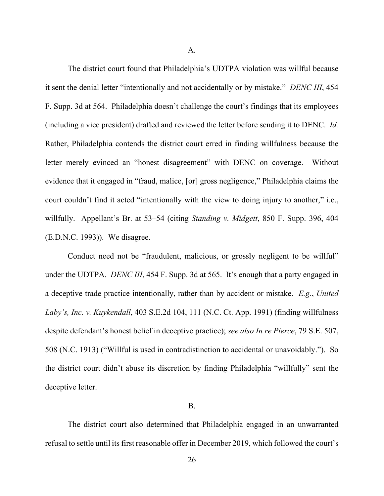A.

The district court found that Philadelphia's UDTPA violation was willful because it sent the denial letter "intentionally and not accidentally or by mistake." *DENC III*, 454 F. Supp. 3d at 564. Philadelphia doesn't challenge the court's findings that its employees (including a vice president) drafted and reviewed the letter before sending it to DENC. *Id.* Rather, Philadelphia contends the district court erred in finding willfulness because the letter merely evinced an "honest disagreement" with DENC on coverage. Without evidence that it engaged in "fraud, malice, [or] gross negligence," Philadelphia claims the court couldn't find it acted "intentionally with the view to doing injury to another," i.e., willfully. Appellant's Br. at 53–54 (citing *Standing v. Midgett*, 850 F. Supp. 396, 404 (E.D.N.C. 1993)). We disagree.

Conduct need not be "fraudulent, malicious, or grossly negligent to be willful" under the UDTPA. *DENC III*, 454 F. Supp. 3d at 565. It's enough that a party engaged in a deceptive trade practice intentionally, rather than by accident or mistake. *E.g.*, *United Laby's, Inc. v. Kuykendall*, 403 S.E.2d 104, 111 (N.C. Ct. App. 1991) (finding willfulness despite defendant's honest belief in deceptive practice); *see also In re Pierce*, 79 S.E. 507, 508 (N.C. 1913) ("Willful is used in contradistinction to accidental or unavoidably."). So the district court didn't abuse its discretion by finding Philadelphia "willfully" sent the deceptive letter.

#### B.

The district court also determined that Philadelphia engaged in an unwarranted refusal to settle until its first reasonable offer in December 2019, which followed the court's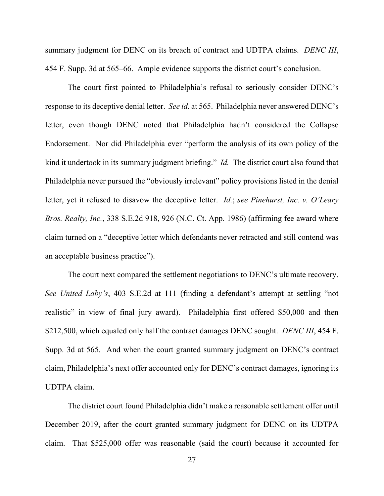summary judgment for DENC on its breach of contract and UDTPA claims. *DENC III*, 454 F. Supp. 3d at 565–66. Ample evidence supports the district court's conclusion.

The court first pointed to Philadelphia's refusal to seriously consider DENC's response to its deceptive denial letter. *See id.* at 565. Philadelphia never answered DENC's letter, even though DENC noted that Philadelphia hadn't considered the Collapse Endorsement. Nor did Philadelphia ever "perform the analysis of its own policy of the kind it undertook in its summary judgment briefing." *Id.* The district court also found that Philadelphia never pursued the "obviously irrelevant" policy provisions listed in the denial letter, yet it refused to disavow the deceptive letter. *Id.*; *see Pinehurst, Inc. v. O'Leary Bros. Realty, Inc.*, 338 S.E.2d 918, 926 (N.C. Ct. App. 1986) (affirming fee award where claim turned on a "deceptive letter which defendants never retracted and still contend was an acceptable business practice").

The court next compared the settlement negotiations to DENC's ultimate recovery. *See United Laby's*, 403 S.E.2d at 111 (finding a defendant's attempt at settling "not realistic" in view of final jury award). Philadelphia first offered \$50,000 and then \$212,500, which equaled only half the contract damages DENC sought. *DENC III*, 454 F. Supp. 3d at 565. And when the court granted summary judgment on DENC's contract claim, Philadelphia's next offer accounted only for DENC's contract damages, ignoring its UDTPA claim.

The district court found Philadelphia didn't make a reasonable settlement offer until December 2019, after the court granted summary judgment for DENC on its UDTPA claim. That \$525,000 offer was reasonable (said the court) because it accounted for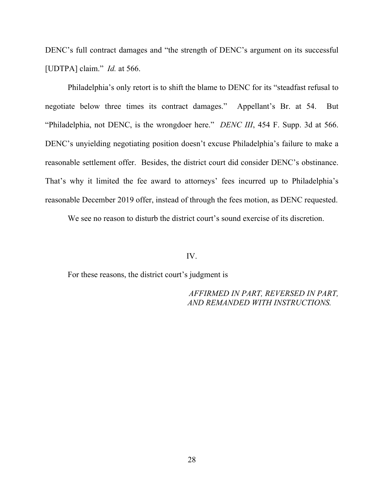DENC's full contract damages and "the strength of DENC's argument on its successful [UDTPA] claim." *Id.* at 566.

Philadelphia's only retort is to shift the blame to DENC for its "steadfast refusal to negotiate below three times its contract damages." Appellant's Br. at 54. But "Philadelphia, not DENC, is the wrongdoer here." *DENC III*, 454 F. Supp. 3d at 566. DENC's unyielding negotiating position doesn't excuse Philadelphia's failure to make a reasonable settlement offer. Besides, the district court did consider DENC's obstinance. That's why it limited the fee award to attorneys' fees incurred up to Philadelphia's reasonable December 2019 offer, instead of through the fees motion, as DENC requested.

We see no reason to disturb the district court's sound exercise of its discretion.

IV.

For these reasons, the district court's judgment is

*AFFIRMED IN PART, REVERSED IN PART, AND REMANDED WITH INSTRUCTIONS.*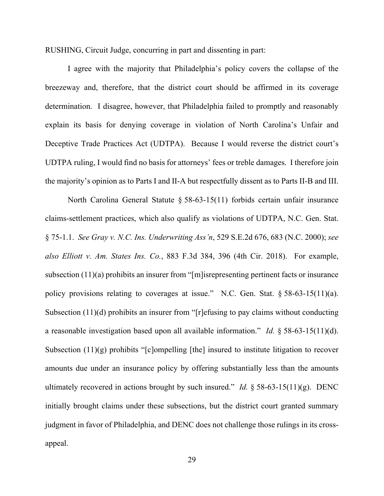RUSHING, Circuit Judge, concurring in part and dissenting in part:

I agree with the majority that Philadelphia's policy covers the collapse of the breezeway and, therefore, that the district court should be affirmed in its coverage determination. I disagree, however, that Philadelphia failed to promptly and reasonably explain its basis for denying coverage in violation of North Carolina's Unfair and Deceptive Trade Practices Act (UDTPA). Because I would reverse the district court's UDTPA ruling, I would find no basis for attorneys' fees or treble damages. I therefore join the majority's opinion as to Parts I and II-A but respectfully dissent as to Parts II-B and III.

North Carolina General Statute § 58-63-15(11) forbids certain unfair insurance claims-settlement practices, which also qualify as violations of UDTPA, N.C. Gen. Stat. § 75-1.1. *See Gray v. N.C. Ins. Underwriting Ass'n*, 529 S.E.2d 676, 683 (N.C. 2000); *see also Elliott v. Am. States Ins. Co.*, 883 F.3d 384, 396 (4th Cir. 2018). For example, subsection (11)(a) prohibits an insurer from "[m]isrepresenting pertinent facts or insurance policy provisions relating to coverages at issue." N.C. Gen. Stat. § 58-63-15(11)(a). Subsection (11)(d) prohibits an insurer from "[r]efusing to pay claims without conducting a reasonable investigation based upon all available information." *Id.* § 58-63-15(11)(d). Subsection  $(11)(g)$  prohibits "[c]ompelling [the] insured to institute litigation to recover amounts due under an insurance policy by offering substantially less than the amounts ultimately recovered in actions brought by such insured." *Id.* § 58-63-15(11)(g). DENC initially brought claims under these subsections, but the district court granted summary judgment in favor of Philadelphia, and DENC does not challenge those rulings in its crossappeal.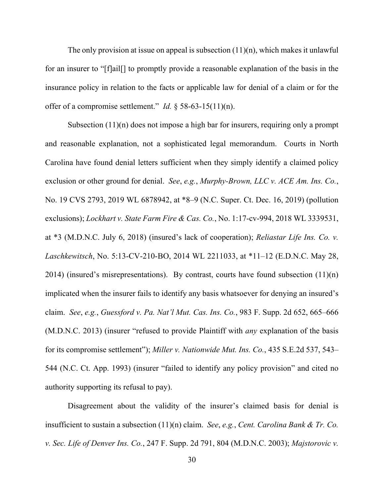The only provision at issue on appeal is subsection  $(11)(n)$ , which makes it unlawful for an insurer to "[f]ail[] to promptly provide a reasonable explanation of the basis in the insurance policy in relation to the facts or applicable law for denial of a claim or for the offer of a compromise settlement." *Id.* § 58-63-15(11)(n).

Subsection (11)(n) does not impose a high bar for insurers, requiring only a prompt and reasonable explanation, not a sophisticated legal memorandum. Courts in North Carolina have found denial letters sufficient when they simply identify a claimed policy exclusion or other ground for denial. *See*, *e.g.*, *Murphy-Brown, LLC v. ACE Am. Ins. Co.*, No. 19 CVS 2793, 2019 WL 6878942, at \*8–9 (N.C. Super. Ct. Dec. 16, 2019) (pollution exclusions); *Lockhart v. State Farm Fire & Cas. Co.*, No. 1:17-cv-994, 2018 WL 3339531, at \*3 (M.D.N.C. July 6, 2018) (insured's lack of cooperation); *Reliastar Life Ins. Co. v. Laschkewitsch*, No. 5:13-CV-210-BO, 2014 WL 2211033, at \*11–12 (E.D.N.C. May 28, 2014) (insured's misrepresentations). By contrast, courts have found subsection  $(11)(n)$ implicated when the insurer fails to identify any basis whatsoever for denying an insured's claim. *See*, *e.g.*, *Guessford v. Pa. Nat'l Mut. Cas. Ins. Co.*, 983 F. Supp. 2d 652, 665–666 (M.D.N.C. 2013) (insurer "refused to provide Plaintiff with *any* explanation of the basis for its compromise settlement"); *Miller v. Nationwide Mut. Ins. Co.*, 435 S.E.2d 537, 543– 544 (N.C. Ct. App. 1993) (insurer "failed to identify any policy provision" and cited no authority supporting its refusal to pay).

Disagreement about the validity of the insurer's claimed basis for denial is insufficient to sustain a subsection (11)(n) claim. *See*, *e.g.*, *Cent. Carolina Bank & Tr. Co. v. Sec. Life of Denver Ins. Co.*, 247 F. Supp. 2d 791, 804 (M.D.N.C. 2003); *Majstorovic v.*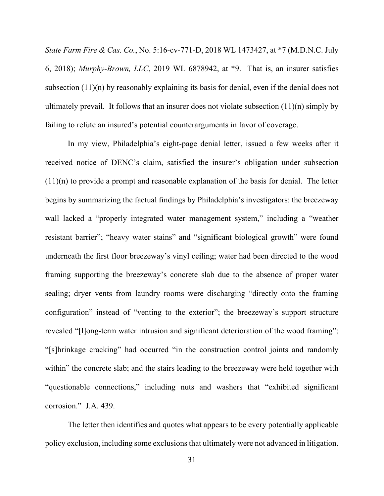*State Farm Fire & Cas. Co.*, No. 5:16-cv-771-D, 2018 WL 1473427, at \*7 (M.D.N.C. July 6, 2018); *Murphy-Brown, LLC*, 2019 WL 6878942, at \*9. That is, an insurer satisfies subsection (11)(n) by reasonably explaining its basis for denial, even if the denial does not ultimately prevail. It follows that an insurer does not violate subsection (11)(n) simply by failing to refute an insured's potential counterarguments in favor of coverage.

In my view, Philadelphia's eight-page denial letter, issued a few weeks after it received notice of DENC's claim, satisfied the insurer's obligation under subsection  $(11)(n)$  to provide a prompt and reasonable explanation of the basis for denial. The letter begins by summarizing the factual findings by Philadelphia's investigators: the breezeway wall lacked a "properly integrated water management system," including a "weather resistant barrier"; "heavy water stains" and "significant biological growth" were found underneath the first floor breezeway's vinyl ceiling; water had been directed to the wood framing supporting the breezeway's concrete slab due to the absence of proper water sealing; dryer vents from laundry rooms were discharging "directly onto the framing configuration" instead of "venting to the exterior"; the breezeway's support structure revealed "[l]ong-term water intrusion and significant deterioration of the wood framing"; "[s]hrinkage cracking" had occurred "in the construction control joints and randomly within" the concrete slab; and the stairs leading to the breezeway were held together with "questionable connections," including nuts and washers that "exhibited significant corrosion." J.A. 439.

The letter then identifies and quotes what appears to be every potentially applicable policy exclusion, including some exclusions that ultimately were not advanced in litigation.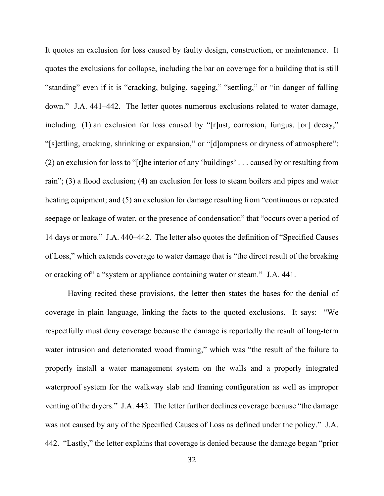It quotes an exclusion for loss caused by faulty design, construction, or maintenance. It quotes the exclusions for collapse, including the bar on coverage for a building that is still "standing" even if it is "cracking, bulging, sagging," "settling," or "in danger of falling down." J.A. 441–442. The letter quotes numerous exclusions related to water damage, including: (1) an exclusion for loss caused by "[r]ust, corrosion, fungus, [or] decay," "[s]ettling, cracking, shrinking or expansion," or "[d]ampness or dryness of atmosphere"; (2) an exclusion for loss to "[t]he interior of any 'buildings' . . . caused by or resulting from rain"; (3) a flood exclusion; (4) an exclusion for loss to steam boilers and pipes and water heating equipment; and (5) an exclusion for damage resulting from "continuous or repeated seepage or leakage of water, or the presence of condensation" that "occurs over a period of 14 days or more." J.A. 440–442. The letter also quotes the definition of "Specified Causes of Loss," which extends coverage to water damage that is "the direct result of the breaking or cracking of" a "system or appliance containing water or steam." J.A. 441.

Having recited these provisions, the letter then states the bases for the denial of coverage in plain language, linking the facts to the quoted exclusions. It says: "We respectfully must deny coverage because the damage is reportedly the result of long-term water intrusion and deteriorated wood framing," which was "the result of the failure to properly install a water management system on the walls and a properly integrated waterproof system for the walkway slab and framing configuration as well as improper venting of the dryers." J.A. 442. The letter further declines coverage because "the damage was not caused by any of the Specified Causes of Loss as defined under the policy." J.A. 442. "Lastly," the letter explains that coverage is denied because the damage began "prior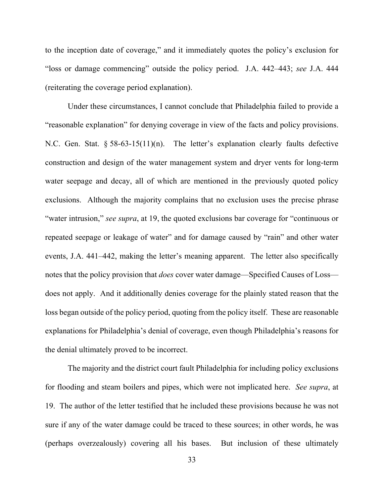to the inception date of coverage," and it immediately quotes the policy's exclusion for "loss or damage commencing" outside the policy period. J.A. 442–443; *see* J.A. 444 (reiterating the coverage period explanation).

Under these circumstances, I cannot conclude that Philadelphia failed to provide a "reasonable explanation" for denying coverage in view of the facts and policy provisions. N.C. Gen. Stat. § 58-63-15(11)(n). The letter's explanation clearly faults defective construction and design of the water management system and dryer vents for long-term water seepage and decay, all of which are mentioned in the previously quoted policy exclusions. Although the majority complains that no exclusion uses the precise phrase "water intrusion," *see supra*, at 19, the quoted exclusions bar coverage for "continuous or repeated seepage or leakage of water" and for damage caused by "rain" and other water events, J.A. 441–442, making the letter's meaning apparent. The letter also specifically notes that the policy provision that *does* cover water damage—Specified Causes of Loss does not apply. And it additionally denies coverage for the plainly stated reason that the loss began outside of the policy period, quoting from the policy itself. These are reasonable explanations for Philadelphia's denial of coverage, even though Philadelphia's reasons for the denial ultimately proved to be incorrect.

The majority and the district court fault Philadelphia for including policy exclusions for flooding and steam boilers and pipes, which were not implicated here. *See supra*, at 19. The author of the letter testified that he included these provisions because he was not sure if any of the water damage could be traced to these sources; in other words, he was (perhaps overzealously) covering all his bases. But inclusion of these ultimately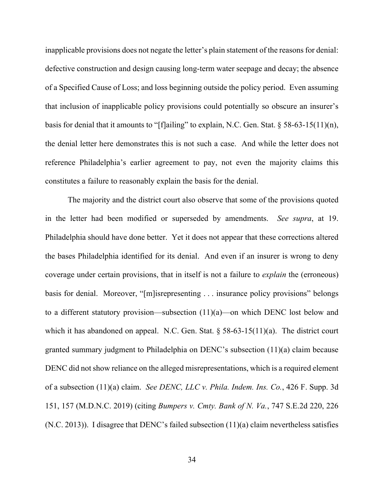inapplicable provisions does not negate the letter's plain statement of the reasons for denial: defective construction and design causing long-term water seepage and decay; the absence of a Specified Cause of Loss; and loss beginning outside the policy period. Even assuming that inclusion of inapplicable policy provisions could potentially so obscure an insurer's basis for denial that it amounts to "[f]ailing" to explain, N.C. Gen. Stat.  $\S 58-63-15(11)(n)$ , the denial letter here demonstrates this is not such a case. And while the letter does not reference Philadelphia's earlier agreement to pay, not even the majority claims this constitutes a failure to reasonably explain the basis for the denial.

The majority and the district court also observe that some of the provisions quoted in the letter had been modified or superseded by amendments. *See supra*, at 19. Philadelphia should have done better. Yet it does not appear that these corrections altered the bases Philadelphia identified for its denial. And even if an insurer is wrong to deny coverage under certain provisions, that in itself is not a failure to *explain* the (erroneous) basis for denial. Moreover, "[m]isrepresenting . . . insurance policy provisions" belongs to a different statutory provision—subsection (11)(a)—on which DENC lost below and which it has abandoned on appeal. N.C. Gen. Stat. § 58-63-15(11)(a). The district court granted summary judgment to Philadelphia on DENC's subsection (11)(a) claim because DENC did not show reliance on the alleged misrepresentations, which is a required element of a subsection (11)(a) claim. *See DENC, LLC v. Phila. Indem. Ins. Co.*, 426 F. Supp. 3d 151, 157 (M.D.N.C. 2019) (citing *Bumpers v. Cmty. Bank of N. Va.*, 747 S.E.2d 220, 226 (N.C. 2013)). I disagree that DENC's failed subsection (11)(a) claim nevertheless satisfies